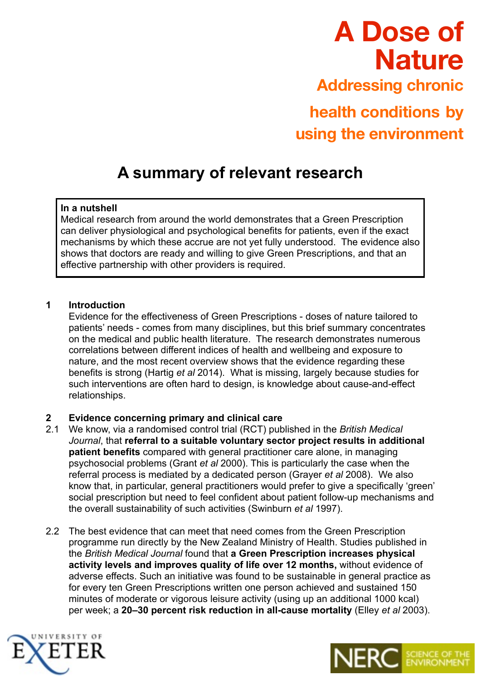# **A Dose of Nature Addressing chronic health conditions by using the environment**

# **A summary of relevant research**

# **In a nutshell**

Medical research from around the world demonstrates that a Green Prescription can deliver physiological and psychological benefits for patients, even if the exact mechanisms by which these accrue are not yet fully understood. The evidence also shows that doctors are ready and willing to give Green Prescriptions, and that an effective partnership with other providers is required.

# **1 Introduction**

 Evidence for the effectiveness of Green Prescriptions - doses of nature tailored to patients' needs - comes from many disciplines, but this brief summary concentrates on the medical and public health literature. The research demonstrates numerous correlations between different indices of health and wellbeing and exposure to nature, and the most recent overview shows that the evidence regarding these benefits is strong (Hartig *et al* 2014). What is missing, largely because studies for such interventions are often hard to design, is knowledge about cause-and-effect relationships.

# **2 Evidence concerning primary and clinical care**

- 2.1 We know, via a randomised control trial (RCT) published in the *British Medical Journal*, that **referral to a suitable voluntary sector project results in additional patient benefits** compared with general practitioner care alone, in managing psychosocial problems (Grant *et al* 2000). This is particularly the case when the referral process is mediated by a dedicated person (Grayer *et al* 2008). We also know that, in particular, general practitioners would prefer to give a specifically 'green' social prescription but need to feel confident about patient follow-up mechanisms and the overall sustainability of such activities (Swinburn *et al* 1997).
- 2.2 The best evidence that can meet that need comes from the Green Prescription programme run directly by the New Zealand Ministry of Health. Studies published in the *British Medical Journal* found that **a Green Prescription increases physical activity levels and improves quality of life over 12 months,** without evidence of adverse effects. Such an initiative was found to be sustainable in general practice as for every ten Green Prescriptions written one person achieved and sustained 150 minutes of moderate or vigorous leisure activity (using up an additional 1000 kcal) per week; a **20–30 percent risk reduction in all-cause mortality** (Elley *et al* 2003).



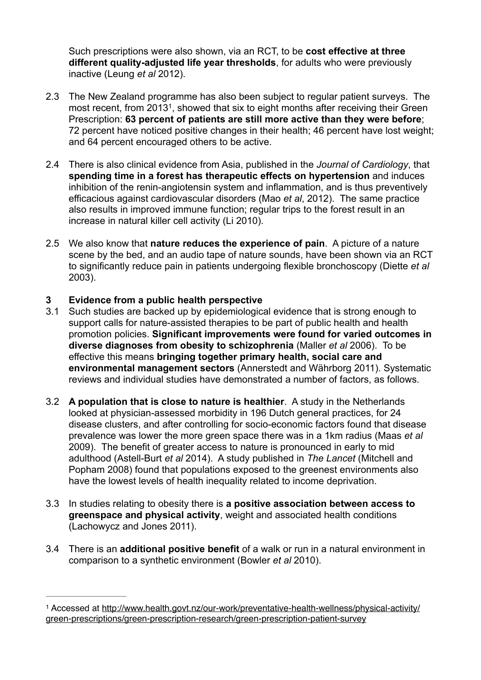Such prescriptions were also shown, via an RCT, to be **cost effective at three different quality-adjusted life year thresholds**, for adults who were previously inactive (Leung *et al* 2012).

- 2.3 The New Zealand programme has also been subject to regular patient surveys. The most recent, from 2013<sup>1</sup>, showed that six to eight months after receiving their Green Prescription: **63 percent of patients are still more active than they were before**; 72 percent have noticed positive changes in their health; 46 percent have lost weight; and 64 percent encouraged others to be active.
- 2.4 There is also clinical evidence from Asia, published in the *Journal of Cardiology*, that **spending time in a forest has therapeutic effects on hypertension** and induces inhibition of the renin-angiotensin system and inflammation, and is thus preventively efficacious against cardiovascular disorders (Mao *et al*, 2012). The same practice also results in improved immune function; regular trips to the forest result in an increase in natural killer cell activity (Li 2010).
- 2.5 We also know that **nature reduces the experience of pain**. A picture of a nature scene by the bed, and an audio tape of nature sounds, have been shown via an RCT to significantly reduce pain in patients undergoing flexible bronchoscopy (Diette *et al* 2003).

# **3 Evidence from a public health perspective**

- 3.1 Such studies are backed up by epidemiological evidence that is strong enough to support calls for nature-assisted therapies to be part of public health and health promotion policies. **Significant improvements were found for varied outcomes in diverse diagnoses from obesity to schizophrenia** (Maller *et al* 2006). To be effective this means **bringing together primary health, social care and environmental management sectors** (Annerstedt and Währborg 2011). Systematic reviews and individual studies have demonstrated a number of factors, as follows.
- 3.2 **A population that is close to nature is healthier**. A study in the Netherlands looked at physician-assessed morbidity in 196 Dutch general practices, for 24 disease clusters, and after controlling for socio-economic factors found that disease prevalence was lower the more green space there was in a 1km radius (Maas *et al*  2009). The benefit of greater access to nature is pronounced in early to mid adulthood (Astell-Burt *et al* 2014). A study published in *The Lancet* (Mitchell and Popham 2008) found that populations exposed to the greenest environments also have the lowest levels of health inequality related to income deprivation.
- 3.3 In studies relating to obesity there is **a positive association between access to greenspace and physical activity**, weight and associated health conditions (Lachowycz and Jones 2011).
- 3.4 There is an **additional positive benefit** of a walk or run in a natural environment in comparison to a synthetic environment (Bowler *et al* 2010).

Accessed at http://www.health.govt.nz/our-work/preventative-health-wellness/physical-activity/ <sup>1</sup> green-prescriptions/green-prescription-research/green-prescription-patient-survey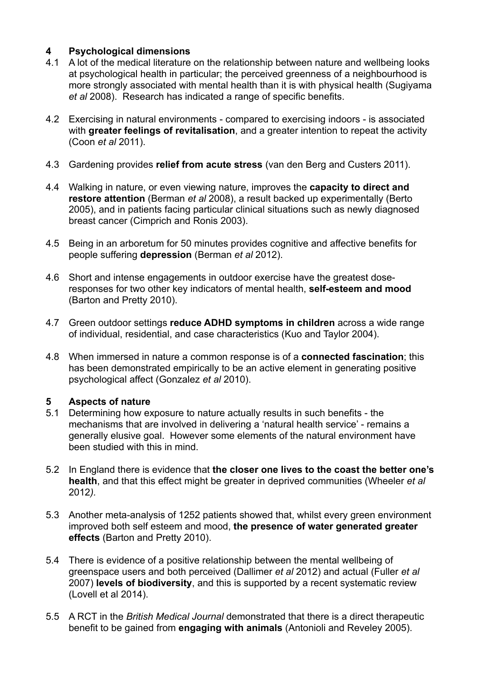# **4 Psychological dimensions**

- 4.1 A lot of the medical literature on the relationship between nature and wellbeing looks at psychological health in particular; the perceived greenness of a neighbourhood is more strongly associated with mental health than it is with physical health (Sugiyama *et al* 2008). Research has indicated a range of specific benefits.
- 4.2 Exercising in natural environments compared to exercising indoors is associated with **greater feelings of revitalisation**, and a greater intention to repeat the activity (Coon *et al* 2011).
- 4.3 Gardening provides **relief from acute stress** (van den Berg and Custers 2011).
- 4.4 Walking in nature, or even viewing nature, improves the **capacity to direct and restore attention** (Berman *et al* 2008), a result backed up experimentally (Berto 2005), and in patients facing particular clinical situations such as newly diagnosed breast cancer (Cimprich and Ronis 2003).
- 4.5 Being in an arboretum for 50 minutes provides cognitive and affective benefits for people suffering **depression** (Berman *et al* 2012).
- 4.6 Short and intense engagements in outdoor exercise have the greatest doseresponses for two other key indicators of mental health, **self-esteem and mood** (Barton and Pretty 2010).
- 4.7 Green outdoor settings **reduce ADHD symptoms in children** across a wide range of individual, residential, and case characteristics (Kuo and Taylor 2004).
- 4.8 When immersed in nature a common response is of a **connected fascination**; this has been demonstrated empirically to be an active element in generating positive psychological affect (Gonzalez *et al* 2010).

# **5 Aspects of nature**

- 5.1 Determining how exposure to nature actually results in such benefits the mechanisms that are involved in delivering a 'natural health service' - remains a generally elusive goal. However some elements of the natural environment have been studied with this in mind.
- 5.2 In England there is evidence that **the closer one lives to the coast the better one's health**, and that this effect might be greater in deprived communities (Wheeler *et al*  2012*).*
- 5.3 Another meta-analysis of 1252 patients showed that, whilst every green environment improved both self esteem and mood, **the presence of water generated greater effects** (Barton and Pretty 2010).
- 5.4 There is evidence of a positive relationship between the mental wellbeing of greenspace users and both perceived (Dallimer *et al* 2012) and actual (Fuller *et al*  2007) **levels of biodiversity**, and this is supported by a recent systematic review (Lovell et al 2014).
- 5.5 A RCT in the *British Medical Journal* demonstrated that there is a direct therapeutic benefit to be gained from **engaging with animals** (Antonioli and Reveley 2005).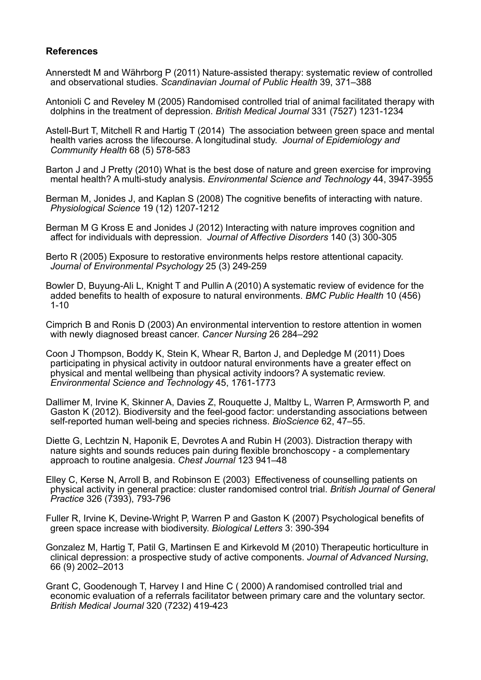#### **References**

- Annerstedt M and Währborg P (2011) Nature-assisted therapy: systematic review of controlled and observational studies. *Scandinavian Journal of Public Health* 39, 371–388
- Antonioli C and Reveley M (2005) Randomised controlled trial of animal facilitated therapy with dolphins in the treatment of depression. *British Medical Journal* 331 (7527) 1231-1234
- Astell-Burt T, Mitchell R and Hartig T (2014) The association between green space and mental health varies across the lifecourse. A longitudinal study. *Journal of Epidemiology and Community Health* 68 (5) 578-583
- Barton J and J Pretty (2010) What is the best dose of nature and green exercise for improving mental health? A multi-study analysis. *Environmental Science and Technology* 44, 3947-3955
- Berman M, Jonides J, and Kaplan S (2008) The cognitive benefits of interacting with nature. *Physiological Science* 19 (12) 1207-1212
- Berman M G Kross E and Jonides J (2012) Interacting with nature improves cognition and affect for individuals with depression. *Journal of Affective Disorders* 140 (3) 300-305
- Berto R (2005) Exposure to restorative environments helps restore attentional capacity. *Journal of Environmental Psychology* 25 (3) 249-259
- Bowler D, Buyung-Ali L, Knight T and Pullin A (2010) A systematic review of evidence for the added benefits to health of exposure to natural environments. *BMC Public Health* 10 (456) 1-10
- Cimprich B and Ronis D (2003) An environmental intervention to restore attention in women with newly diagnosed breast cancer. *Cancer Nursing* 26 284–292
- Coon J Thompson, Boddy K, Stein K, Whear R, Barton J, and Depledge M (2011) Does participating in physical activity in outdoor natural environments have a greater effect on physical and mental wellbeing than physical activity indoors? A systematic review. *Environmental Science and Technology* 45, 1761-1773
- Dallimer M, Irvine K, Skinner A, Davies Z, Rouquette J, Maltby L, Warren P, Armsworth P, and Gaston K (2012). Biodiversity and the feel-good factor: understanding associations between self-reported human well-being and species richness. *BioScience* 62, 47–55.
- Diette G, Lechtzin N, Haponik E, Devrotes A and Rubin H (2003). Distraction therapy with nature sights and sounds reduces pain during flexible bronchoscopy - a complementary approach to routine analgesia. *Chest Journal* 123 941–48
- Elley C, Kerse N, Arroll B, and Robinson E (2003) Effectiveness of counselling patients on physical activity in general practice: cluster randomised control trial. *British Journal of General Practice* 326 (7393), 793-796
- Fuller R, Irvine K, Devine-Wright P, Warren P and Gaston K (2007) Psychological benefits of green space increase with biodiversity. *Biological Letters* 3: 390-394
- Gonzalez M, Hartig T, Patil G, Martinsen E and Kirkevold M (2010) Therapeutic horticulture in clinical depression: a prospective study of active components. *Journal of Advanced Nursing*, 66 (9) 2002–2013
- Grant C, Goodenough T, Harvey I and Hine C ( 2000) A randomised controlled trial and economic evaluation of a referrals facilitator between primary care and the voluntary sector. *British Medical Journal* 320 (7232) 419-423